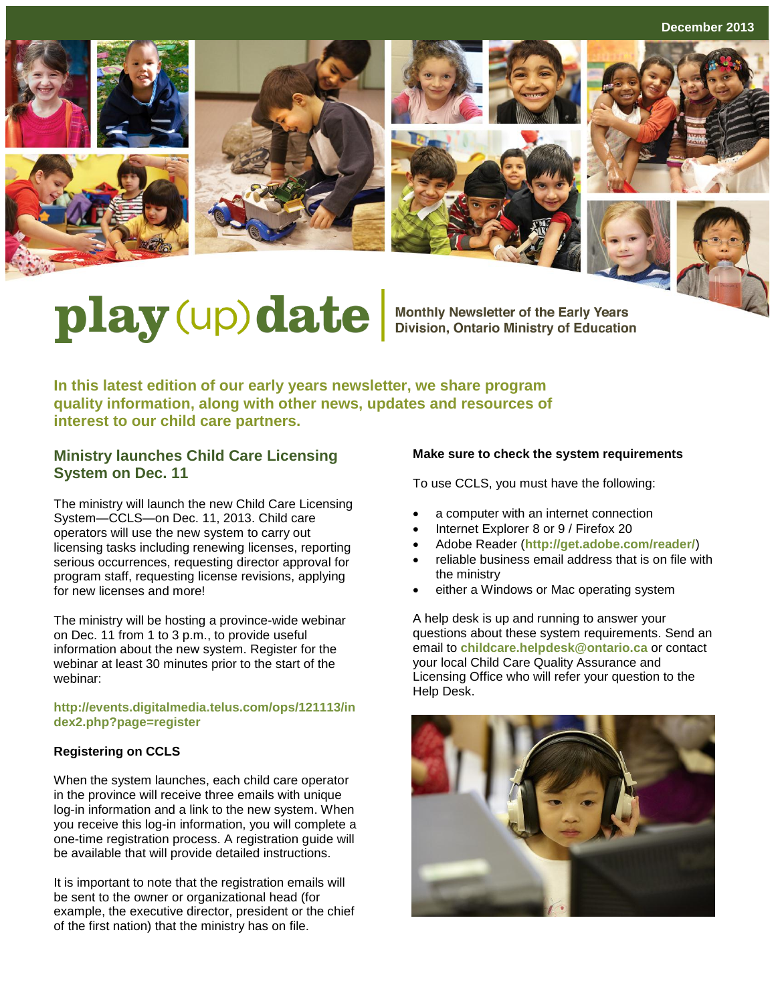**December 2013**











# play (up) date Monthly Newsletter of the Early Years

**In this latest edition of our early years newsletter, we share program quality information, along with other news, updates and resources of interest to our child care partners.**

## **Ministry launches Child Care Licensing System on Dec. 11**

The ministry will launch the new Child Care Licensing System—CCLS—on Dec. 11, 2013. Child care operators will use the new system to carry out licensing tasks including renewing licenses, reporting serious occurrences, requesting director approval for program staff, requesting license revisions, applying for new licenses and more!

The ministry will be hosting a province-wide webinar on Dec. 11 from 1 to 3 p.m., to provide useful information about the new system. Register for the webinar at least 30 minutes prior to the start of the webinar:

#### **[http://events.digitalmedia.telus.com/ops/121113/in](http://events.digitalmedia.telus.com/ops/121113/index2.php?page=register) [dex2.php?page=register](http://events.digitalmedia.telus.com/ops/121113/index2.php?page=register)**

#### **Registering on CCLS**

When the system launches, each child care operator in the province will receive three emails with unique log-in information and a link to the new system. When you receive this log-in information, you will complete a one-time registration process. A registration guide will be available that will provide detailed instructions.

It is important to note that the registration emails will be sent to the owner or organizational head (for example, the executive director, president or the chief of the first nation) that the ministry has on file.

#### **Make sure to check the system requirements**

To use CCLS, you must have the following:

- a computer with an internet connection
- Internet Explorer 8 or 9 / Firefox 20
- Adobe Reader (**<http://get.adobe.com/reader/>**)
- reliable business email address that is on file with the ministry
- either a Windows or Mac operating system

A help desk is up and running to answer your questions about these system requirements. Send an email to **[childcare.helpdesk@ontario.ca](mailto:childcare.helpdesk@ontario.ca)** or contact your local Child Care Quality Assurance and Licensing Office who will refer your question to the Help Desk.